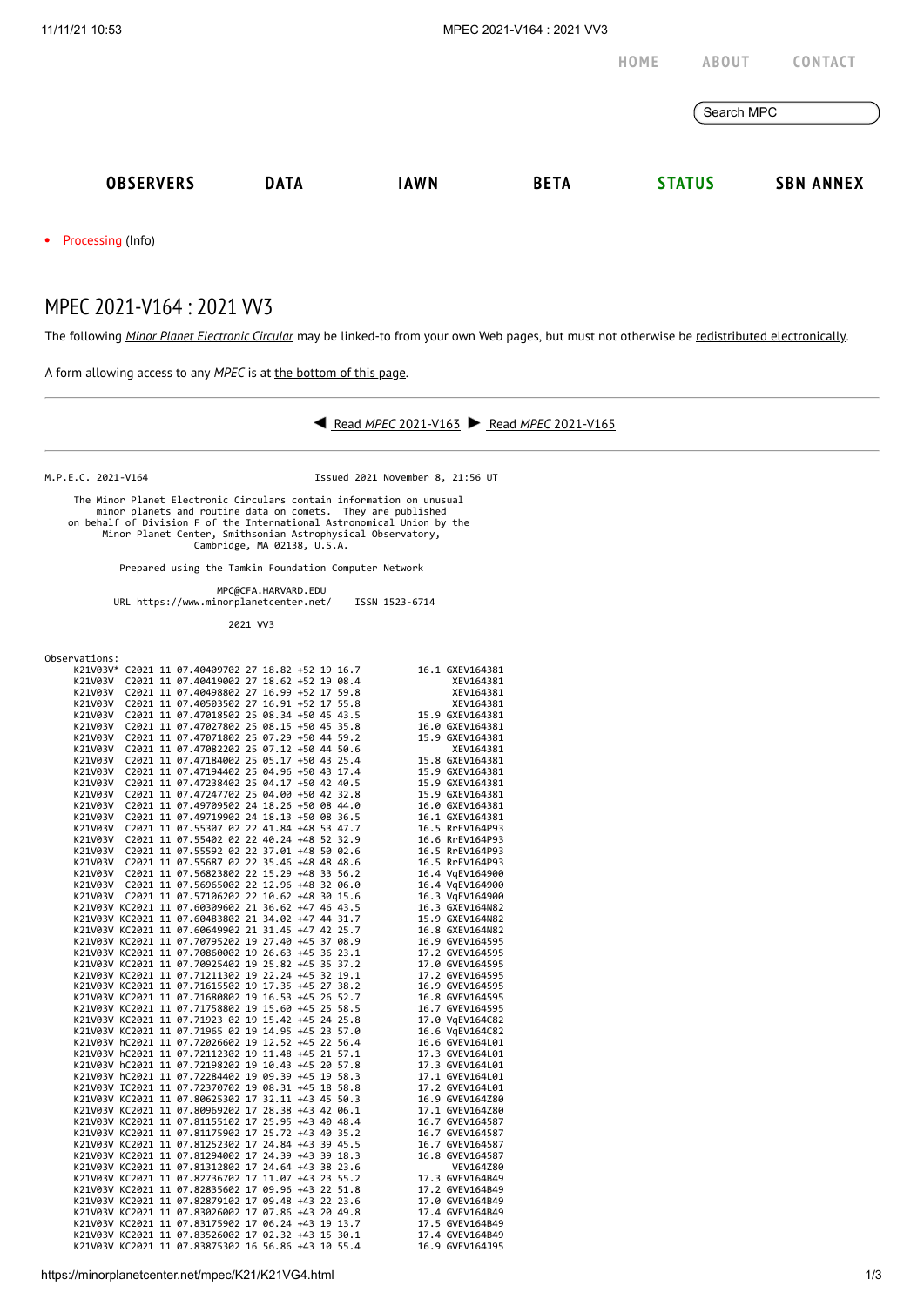

## MPEC 2021-V164 : 2021 VV3

The following *Minor Planet [Electronic](https://minorplanetcenter.net/iau/services/MPEC.html) Circular* may be linked-to from your own Web pages, but must not otherwise be redistributed [electronically](https://minorplanetcenter.net/iau/WWWPolicy.html).

A form allowing access to any *MPEC* is at the [bottom](https://minorplanetcenter.net/mpec/K19/K21VG4.html#form) of this page.



M.P.E.C. 2021-V164 Issued 2021 November 8, 21:56 UT

 The Minor Planet Electronic Circulars contain information on unusual minor planets and routine data on comets. They are published<br>on behalf of Division F of the International Astronomical Union by the<br>Minor Planet Center, Smithsonian Astrophysical Observatory,<br>Cambridge, MA 02138, U.S.A.

Prepared using the Tamkin Foundation Computer Network

MPC@CFA.HARVARD.EDU

URL https://www.minorplanetcenter.net/ ISSN 1523-6714

2021 VV3

Observations:

| Observations: |  |                                                    |  |  |                                                                                                                                                                                                                                          |                                    |
|---------------|--|----------------------------------------------------|--|--|------------------------------------------------------------------------------------------------------------------------------------------------------------------------------------------------------------------------------------------|------------------------------------|
|               |  | K21V03V* C2021 11 07.40409702 27 18.82 +52 19 16.7 |  |  |                                                                                                                                                                                                                                          | 16.1 GXEV164381                    |
|               |  | K21V03V C2021 11 07.40419002 27 18.62 +52 19 08.4  |  |  |                                                                                                                                                                                                                                          | XEV164381                          |
|               |  | K21V03V C2021 11 07.40498802 27 16.99 +52 17 59.8  |  |  |                                                                                                                                                                                                                                          | XEV164381                          |
|               |  | K21V03V C2021 11 07.40503502 27 16.91 +52 17 55.8  |  |  |                                                                                                                                                                                                                                          |                                    |
| K21V03V       |  |                                                    |  |  |                                                                                                                                                                                                                                          |                                    |
| K21V03V       |  |                                                    |  |  | C2021 11 07.47018502 25 08.34 +50 45 43.5<br>C2021 11 07.47018502 25 08.34 +50 45 43.5<br>C2021 11 07.47027802 25 08.15 +50 45 35.8<br>C2021 11 07.47027802 25 08.15 +50 45 35.8<br>C2021 11 07.47027802 25 08.15 +50 45 35.8<br>C2021 1 |                                    |
| K21V03V       |  | C2021 11 07.47071802 25 07.29 +50 44 59.2          |  |  |                                                                                                                                                                                                                                          | 15.9 GXEV164381                    |
| K21V03V       |  | C2021 11 07.47082202 25 07.12 +50 44 50.6          |  |  |                                                                                                                                                                                                                                          | XEV164381                          |
| K21V03V       |  | C2021 11 07.47184002 25 05.17 +50 43 25.4          |  |  |                                                                                                                                                                                                                                          | 15.8 GXEV164381                    |
| K21V03V       |  | C2021 11 07.47194402 25 04.96 +50 43 17.4          |  |  |                                                                                                                                                                                                                                          | 15.9 GXEV164381                    |
| K21V03V       |  | C2021 11 07.47238402 25 04.17 +50 42 40.5          |  |  |                                                                                                                                                                                                                                          | 15.9 GXEV164381                    |
| K21V03V       |  | C2021 11 07.47247702 25 04.00 +50 42 32.8          |  |  |                                                                                                                                                                                                                                          | 15.9 GXEV164381                    |
| K21V03V       |  | C2021 11 07.49709502 24 18.26 +50 08 44.0          |  |  |                                                                                                                                                                                                                                          | 16.0 GXEV164381                    |
| K21V03V       |  | C2021 11 07.49719902 24 18.13 +50 08 36.5          |  |  |                                                                                                                                                                                                                                          | 16.1 GXEV164381                    |
| K21V03V       |  | C2021 11 07.55307 02 22 41.84 +48 53 47.7          |  |  |                                                                                                                                                                                                                                          | 16.5 RrEV164P93                    |
|               |  | K21V03V C2021 11 07.55402 02 22 40.24 +48 52 32.9  |  |  |                                                                                                                                                                                                                                          | 16.6 RrEV164P93                    |
|               |  | K21V03V C2021 11 07.55592 02 22 37.01 +48 50 02.6  |  |  |                                                                                                                                                                                                                                          | 16.5 RrEV164P93                    |
|               |  |                                                    |  |  |                                                                                                                                                                                                                                          |                                    |
|               |  | K21V03V C2021 11 07.55687 02 22 35.46 +48 48 48.6  |  |  |                                                                                                                                                                                                                                          | 16.5 RrEV164P93                    |
|               |  | K21V03V C2021 11 07.56823802 22 15.29 +48 33 56.2  |  |  |                                                                                                                                                                                                                                          | 16.4 VgEV164900                    |
|               |  | K21V03V C2021 11 07.56965002 22 12.96 +48 32 06.0  |  |  |                                                                                                                                                                                                                                          | 16.4 VgEV164900                    |
|               |  | K21V03V C2021 11 07.57106202 22 10.62 +48 30 15.6  |  |  |                                                                                                                                                                                                                                          | 16.3 VgEV164900                    |
|               |  | K21V03V KC2021 11 07.60309602 21 36.62 +47 46 43.5 |  |  |                                                                                                                                                                                                                                          | 16.3 GXEV164N82                    |
|               |  | K21V03V KC2021 11 07.60483802 21 34.02 +47 44 31.7 |  |  |                                                                                                                                                                                                                                          | 15.9 GXEV164N82                    |
|               |  | K21V03V KC2021 11 07.60649902 21 31.45 +47 42 25.7 |  |  |                                                                                                                                                                                                                                          | 16.8 GXEV164N82                    |
|               |  | K21V03V KC2021 11 07.70795202 19 27.40 +45 37 08.9 |  |  |                                                                                                                                                                                                                                          | 16.9 GVEV164595                    |
|               |  | K21V03V KC2021 11 07.70860002 19 26.63 +45 36 23.1 |  |  |                                                                                                                                                                                                                                          | 17.2 GVEV164595                    |
|               |  | K21V03V KC2021 11 07.70925402 19 25.82 +45 35 37.2 |  |  |                                                                                                                                                                                                                                          | 17.0 GVEV164595                    |
|               |  | K21V03V KC2021 11 07.71211302 19 22.24 +45 32 19.1 |  |  |                                                                                                                                                                                                                                          | 17.2 GVEV164595                    |
|               |  | K21V03V KC2021 11 07.71615502 19 17.35 +45 27 38.2 |  |  |                                                                                                                                                                                                                                          | 16.9 GVEV164595                    |
|               |  | K21V03V KC2021 11 07.71680802 19 16.53 +45 26 52.7 |  |  |                                                                                                                                                                                                                                          | 16.8 GVEV164595                    |
|               |  | K21V03V KC2021 11 07.71758802 19 15.60 +45 25 58.5 |  |  |                                                                                                                                                                                                                                          | 16.7 GVEV164595                    |
|               |  | K21V03V KC2021 11 07.71923 02 19 15.42 +45 24 25.8 |  |  |                                                                                                                                                                                                                                          | 17.0 VgEV164C82                    |
|               |  | K21V03V KC2021 11 07.71965 02 19 14.95 +45 23 57.0 |  |  |                                                                                                                                                                                                                                          | 16.6 VgEV164C82                    |
|               |  | K21V03V hC2021 11 07.72026602 19 12.52 +45 22 56.4 |  |  |                                                                                                                                                                                                                                          | 16.6 GVEV164L01                    |
|               |  | K21V03V hC2021 11 07.72112302 19 11.48 +45 21 57.1 |  |  |                                                                                                                                                                                                                                          | 17.3 GVEV164L01                    |
|               |  | K21V03V hC2021 11 07.72198202 19 10.43 +45 20 57.8 |  |  |                                                                                                                                                                                                                                          | 17.3 GVEV164L01                    |
|               |  | K21V03V hC2021 11 07.72284402 19 09.39 +45 19 58.3 |  |  |                                                                                                                                                                                                                                          | 17.1 GVEV164L01                    |
|               |  | K21V03V IC2021 11 07.72370702 19 08.31 +45 18 58.8 |  |  |                                                                                                                                                                                                                                          | 17.2 GVEV164L01                    |
|               |  | K21V03V KC2021 11 07.80625302 17 32.11 +43 45 50.3 |  |  |                                                                                                                                                                                                                                          | 16.9 GVEV164Z80                    |
|               |  | K21V03V KC2021 11 07.80969202 17 28.38 +43 42 06.1 |  |  |                                                                                                                                                                                                                                          | 17.1 GVEV164Z80                    |
|               |  | K21V03V KC2021 11 07.81155102 17 25.95 +43 40 48.4 |  |  |                                                                                                                                                                                                                                          | 16.7 GVEV164587                    |
|               |  | K21V03V KC2021 11 07.81175902 17 25.72 +43 40 35.2 |  |  |                                                                                                                                                                                                                                          | 16.7 GVEV164587                    |
|               |  | K21V03V KC2021 11 07.81252302 17 24.84 +43 39 45.5 |  |  |                                                                                                                                                                                                                                          | 16.7 GVEV164587                    |
|               |  | K21V03V KC2021 11 07.81294002 17 24.39 +43 39 18.3 |  |  |                                                                                                                                                                                                                                          | 16.8 GVEV164587                    |
|               |  | K21V03V KC2021 11 07.81312802 17 24.64 +43 38 23.6 |  |  |                                                                                                                                                                                                                                          | VEV164Z80                          |
|               |  | K21V03V KC2021 11 07.82736702 17 11.07 +43 23 55.2 |  |  |                                                                                                                                                                                                                                          | 17.3 GVEV164B49                    |
|               |  | K21V03V KC2021 11 07.82835602 17 09.96 +43 22 51.8 |  |  |                                                                                                                                                                                                                                          | 17.2 GVEV164B49                    |
|               |  | K21V03V KC2021 11 07.82879102 17 09.48 +43 22 23.6 |  |  |                                                                                                                                                                                                                                          |                                    |
|               |  | K21V03V KC2021 11 07.83026002 17 07.86 +43 20 49.8 |  |  |                                                                                                                                                                                                                                          | 17.0 GVEV164B49<br>17.4 GVEV164B49 |
|               |  | K21V03V KC2021 11 07.83175902 17 06.24 +43 19 13.7 |  |  |                                                                                                                                                                                                                                          | 17.5 GVEV164B49                    |
|               |  |                                                    |  |  |                                                                                                                                                                                                                                          |                                    |
|               |  | K21V03V KC2021 11 07.83526002 17 02.32 +43 15 30.1 |  |  |                                                                                                                                                                                                                                          | 17.4 GVEV164B49                    |
|               |  | K21V03V KC2021 11 07.83875302 16 56.86 +43 10 55.4 |  |  |                                                                                                                                                                                                                                          | 16.9 GVEV164J95                    |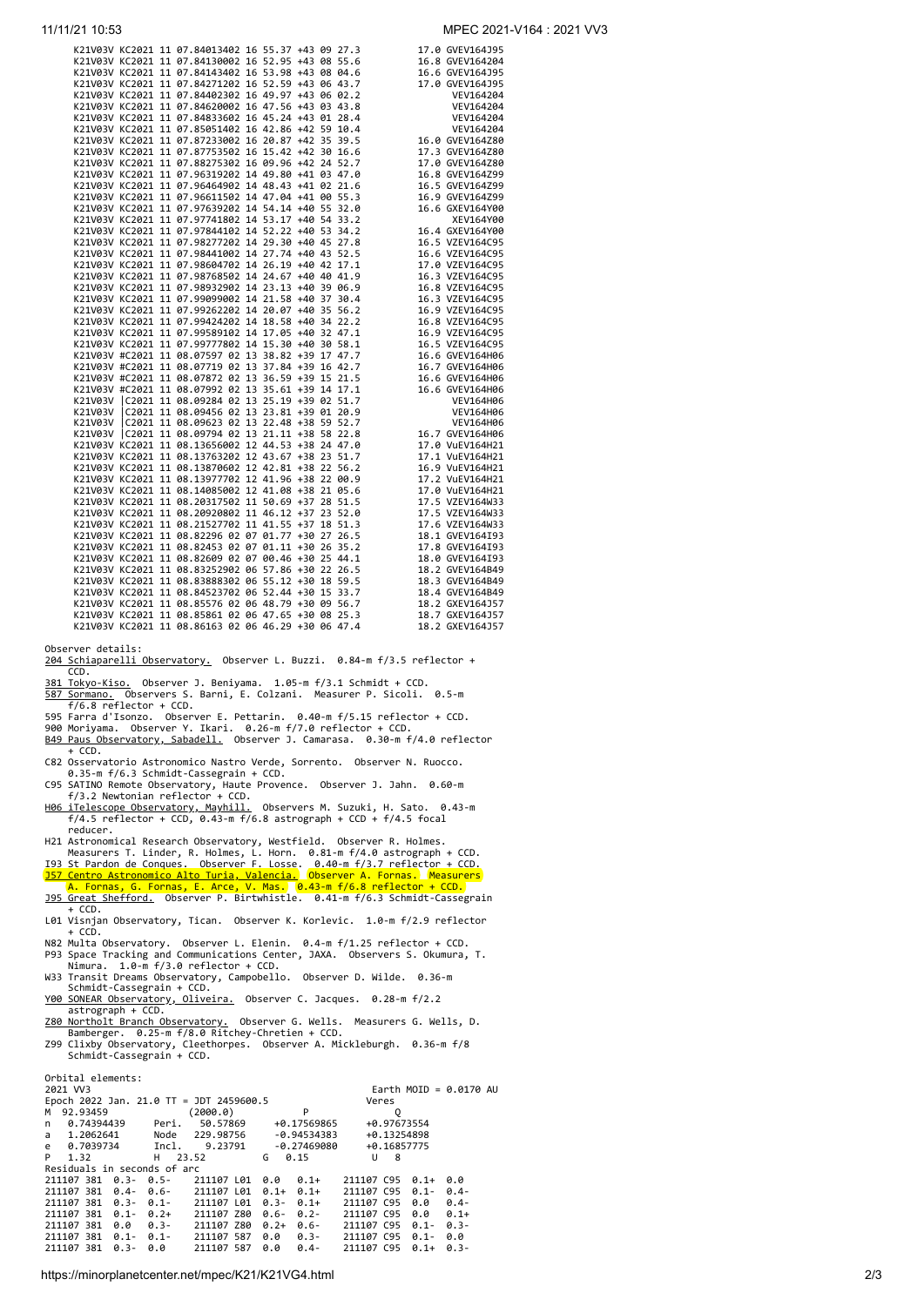| 11/11/21 10:53                                                                                                                                                                                                                                                                                                                            | MPEC 2021-V164 : 2021 VV3                                     |
|-------------------------------------------------------------------------------------------------------------------------------------------------------------------------------------------------------------------------------------------------------------------------------------------------------------------------------------------|---------------------------------------------------------------|
| K21V03V KC2021 11 07.84013402 16 55.37 +43 09 27.3                                                                                                                                                                                                                                                                                        | 17.0 GVEV164J95                                               |
|                                                                                                                                                                                                                                                                                                                                           |                                                               |
|                                                                                                                                                                                                                                                                                                                                           |                                                               |
|                                                                                                                                                                                                                                                                                                                                           |                                                               |
|                                                                                                                                                                                                                                                                                                                                           |                                                               |
|                                                                                                                                                                                                                                                                                                                                           |                                                               |
|                                                                                                                                                                                                                                                                                                                                           |                                                               |
|                                                                                                                                                                                                                                                                                                                                           |                                                               |
|                                                                                                                                                                                                                                                                                                                                           |                                                               |
|                                                                                                                                                                                                                                                                                                                                           |                                                               |
|                                                                                                                                                                                                                                                                                                                                           |                                                               |
|                                                                                                                                                                                                                                                                                                                                           |                                                               |
|                                                                                                                                                                                                                                                                                                                                           |                                                               |
|                                                                                                                                                                                                                                                                                                                                           |                                                               |
|                                                                                                                                                                                                                                                                                                                                           |                                                               |
|                                                                                                                                                                                                                                                                                                                                           |                                                               |
|                                                                                                                                                                                                                                                                                                                                           |                                                               |
|                                                                                                                                                                                                                                                                                                                                           |                                                               |
|                                                                                                                                                                                                                                                                                                                                           |                                                               |
|                                                                                                                                                                                                                                                                                                                                           |                                                               |
|                                                                                                                                                                                                                                                                                                                                           |                                                               |
|                                                                                                                                                                                                                                                                                                                                           |                                                               |
|                                                                                                                                                                                                                                                                                                                                           |                                                               |
|                                                                                                                                                                                                                                                                                                                                           |                                                               |
|                                                                                                                                                                                                                                                                                                                                           |                                                               |
|                                                                                                                                                                                                                                                                                                                                           |                                                               |
|                                                                                                                                                                                                                                                                                                                                           |                                                               |
|                                                                                                                                                                                                                                                                                                                                           |                                                               |
|                                                                                                                                                                                                                                                                                                                                           |                                                               |
|                                                                                                                                                                                                                                                                                                                                           |                                                               |
|                                                                                                                                                                                                                                                                                                                                           |                                                               |
|                                                                                                                                                                                                                                                                                                                                           |                                                               |
| 1/21 10.53<br>MPEC 2021<br>K21008W KC2821 11 87.84813482 16 55.37 +43 89 27.3<br>K21083W KC2821 11 87.84813482 16 55.37 +43 88 27.3<br>K21083W KC2821 11 87.8448282 16 53.38 +43 88 84.6<br>K21083W KC2821 11 87.8448282 16 49.57 +43 8<br>Observer details:<br>204 Schiaparelli Observatory. Observer L. Buzzi. 0.84-m f/3.5 reflector + |                                                               |
| CCD.<br>381 Tokyo-Kiso. Observer J. Beniyama. 1.05-m f/3.1 Schmidt + CCD.                                                                                                                                                                                                                                                                 |                                                               |
| 587 Sormano. Observers S. Barni, E. Colzani. Measurer P. Sicoli. 0.5-m<br>$f/6.8$ reflector + CCD.                                                                                                                                                                                                                                        |                                                               |
| 595 Farra d'Isonzo. Observer E. Pettarin. 0.40-m f/5.15 reflector + CCD.                                                                                                                                                                                                                                                                  |                                                               |
| 900 Moriyama. Observer Y. Ikari. 0.26-m f/7.0 reflector + CCD.<br>B49 Paus Observatory, Sabadell. Observer J. Camarasa. 0.30-m f/4.0 reflector                                                                                                                                                                                            |                                                               |
| + CCD.<br>C82 Osservatorio Astronomico Nastro Verde, Sorrento. Observer N. Ruocco.                                                                                                                                                                                                                                                        |                                                               |
| 0.35-m f/6.3 Schmidt-Cassegrain + CCD.                                                                                                                                                                                                                                                                                                    |                                                               |
| C95 SATINO Remote Observatory, Haute Provence. Observer J. Jahn. 0.60-m<br>$f/3.2$ Newtonian reflector + CCD.                                                                                                                                                                                                                             |                                                               |
| H06 iTelescope Observatory, Mayhill. Observers M. Suzuki, H. Sato. 0.43-m<br>$f/4.5$ reflector + CCD, 0.43-m $f/6.8$ astrograph + CCD + $f/4.5$ focal<br>reducer.                                                                                                                                                                         |                                                               |
| H21 Astronomical Research Observatory, Westfield. Observer R. Holmes.<br>Measurers T. Linder, R. Holmes, L. Horn. 0.81-m f/4.0 astrograph + CCD.                                                                                                                                                                                          |                                                               |
| 193 St Pardon de Conques. Observer F. Losse. 0.40-m f/3.7 reflector + CCD.                                                                                                                                                                                                                                                                |                                                               |
| <b>357 Centro Astronomico Alto Turia, Valencia.</b> Observer A. Fornas. Measurers<br>A. Fornas, G. Fornas, E. Arce, V. Mas. 0.43-m f/6.8 reflector + CCD.                                                                                                                                                                                 |                                                               |
| 195 Great Shefford. Observer P. Birtwhistle. 0.41-m f/6.3 Schmidt-Cassegrain                                                                                                                                                                                                                                                              |                                                               |
| + CCD.<br>L01 Visnjan Observatory, Tican. Observer K. Korlevic. 1.0-m f/2.9 reflector                                                                                                                                                                                                                                                     |                                                               |
| + CCD.<br>N82 Multa Observatory. Observer L. Elenin. 0.4-m f/1.25 reflector + CCD.                                                                                                                                                                                                                                                        |                                                               |
| P93 Space Tracking and Communications Center, JAXA. Observers S. Okumura, T.                                                                                                                                                                                                                                                              |                                                               |
| Nimura. 1.0-m f/3.0 reflector + CCD.<br>W33 Transit Dreams Observatory, Campobello. Observer D. Wilde. 0.36-m                                                                                                                                                                                                                             |                                                               |
| Schmidt-Cassegrain + CCD.<br>Y00 SONEAR Observatory, Oliveira. Observer C. Jacques. 0.28-m f/2.2                                                                                                                                                                                                                                          |                                                               |
| astrograph + CCD.                                                                                                                                                                                                                                                                                                                         |                                                               |
| <u>Z80 Northolt Branch Observatory.</u> Observer G. Wells. Measurers G. Wells, D.<br>Bamberger. 0.25-m f/8.0 Ritchey-Chretien + CCD.                                                                                                                                                                                                      |                                                               |
| Z99 Clixby Observatory, Cleethorpes. Observer A. Mickleburgh. 0.36-m f/8<br>Schmidt-Cassegrain + CCD.                                                                                                                                                                                                                                     |                                                               |
| Orbital elements:                                                                                                                                                                                                                                                                                                                         |                                                               |
| 2021 VV3<br>Epoch 2022 Jan. 21.0 TT = JDT 2459600.5                                                                                                                                                                                                                                                                                       | Earth MOID = $0.0170$ AU<br>Veres                             |
| (2000.0)<br>P<br>M 92.93459                                                                                                                                                                                                                                                                                                               | Q                                                             |
| 50.57869<br>0.74394439<br>+0.17569865<br>Peri.<br>n<br>Node<br>229.98756<br>1.2062641<br>-0.94534383<br>a                                                                                                                                                                                                                                 | +0.97673554<br>+0.13254898                                    |
| 0.7039734<br>Incl.<br>9.23791<br>$-0.27469080$<br>e<br>P<br>1.32<br>н<br>23.52<br>G<br>0.15                                                                                                                                                                                                                                               | +0.16857775<br>U<br>8                                         |
| Residuals in seconds of arc                                                                                                                                                                                                                                                                                                               |                                                               |
| 211107 381 0.3- 0.5-<br>211107 L01 0.0<br>$0.1+$<br>211107 381 0.4- 0.6-<br>211107 L01 0.1+ 0.1+                                                                                                                                                                                                                                          | 211107 C95<br>$0.1 +$<br>0.0<br>211107 C95<br>$0.4 -$<br>0.1- |
| 211107 381 0.3- 0.1-<br>211107 L01 0.3- 0.1+                                                                                                                                                                                                                                                                                              | 211107 C95 0.0<br>$0.4 -$                                     |
| 211107 381 0.1- 0.2+<br>211107 Z80 0.6- 0.2-<br>211107 381 0.0<br>$0.3 -$<br>211107 Z80 0.2+ 0.6-                                                                                                                                                                                                                                         | 211107 C95 0.0<br>$0.1+$                                      |
|                                                                                                                                                                                                                                                                                                                                           | 211107 C95 0.1-<br>$0.3 -$                                    |

https://minorplanetcenter.net/mpec/K21/K21VG4.html 2/3